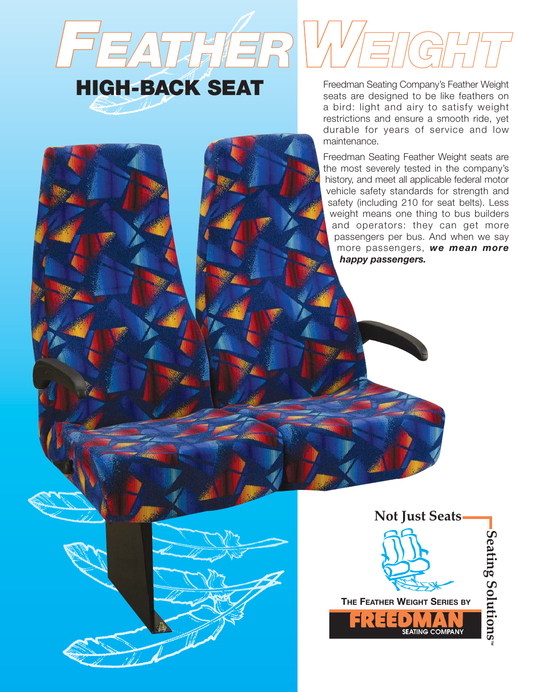## FEATHERWEIGHT **HIGH-BACK SEAT**

seats are designed to be like feathers on a bird: light and airy to satisfy weight restrictions and ensure a smooth ride, yet durable for years of service and low

maintenance.

Freedman Seating Feather Weight seats are the most severely tested in the company's history, and meet all applicable federal motor vehicle safety standards for strength and safety (including 210 for seat belts). Less weight means one thing to bus builders and operators: they can get more passengers per bus. And when we say more passengers, *we mean more happy passengers.*

**THE FEATHER WEIGHT SERIES BY** EREFINI

**Not Just Seats**

**SEATING** 

**Seating SolutionsSeating Solutions**